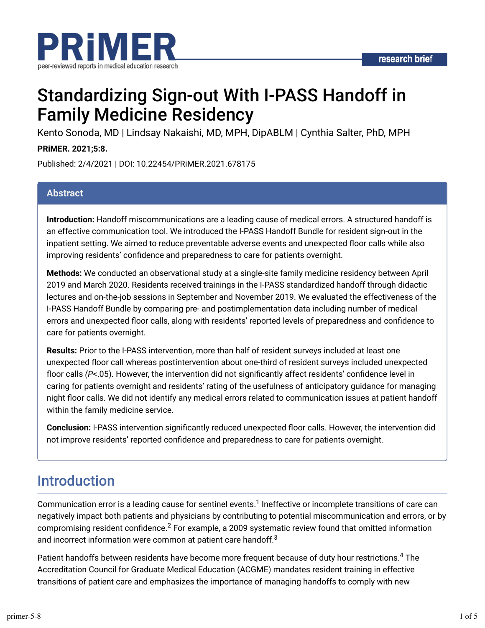

# Standardizing Sign-out With I-PASS Handoff in Family Medicine Residency

Kento Sonoda, MD | Lindsay Nakaishi, MD, MPH, DipABLM | Cynthia Salter, PhD, MPH

## **PRiMER. 2021;5:8.**

Published: 2/4/2021 | DOI: 10.22454/PRiMER.2021.678175

### **Abstract**

**Introduction:** Handoff miscommunications are a leading cause of medical errors. A structured handoff is an effective communication tool. We introduced the I-PASS Handoff Bundle for resident sign-out in the inpatient setting. We aimed to reduce preventable adverse events and unexpected floor calls while also improving residents' confidence and preparedness to care for patients overnight.

**Methods:** We conducted an observational study at a single-site family medicine residency between April 2019 and March 2020. Residents received trainings in the I-PASS standardized handoff through didactic lectures and on-the-job sessions in September and November 2019. We evaluated the effectiveness of the I-PASS Handoff Bundle by comparing pre- and postimplementation data including number of medical errors and unexpected floor calls, along with residents' reported levels of preparedness and confidence to care for patients overnight.

**Results:** Prior to the I-PASS intervention, more than half of resident surveys included at least one unexpected floor call whereas postintervention about one-third of resident surveys included unexpected floor calls (P<.05). However, the intervention did not significantly affect residents' confidence level in caring for patients overnight and residents' rating of the usefulness of anticipatory guidance for managing night floor calls. We did not identify any medical errors related to communication issues at patient handoff within the family medicine service.

**Conclusion:** I-PASS intervention significantly reduced unexpected floor calls. However, the intervention did not improve residents' reported confidence and preparedness to care for patients overnight.

## Introduction

Communication error is a leading cause for sentinel events.<sup>1</sup> Ineffective or incomplete transitions of care can negatively impact both patients and physicians by contributing to potential miscommunication and errors, or by compromising resident confidence. $^2$  For example, a 2009 systematic review found that omitted information and incorrect information were common at patient care handoff. $^3$ 

Patient handoffs between residents have become more frequent because of duty hour restrictions. $^4$  The Accreditation Council for Graduate Medical Education (ACGME) mandates resident training in effective transitions of patient care and emphasizes the importance of managing handoffs to comply with new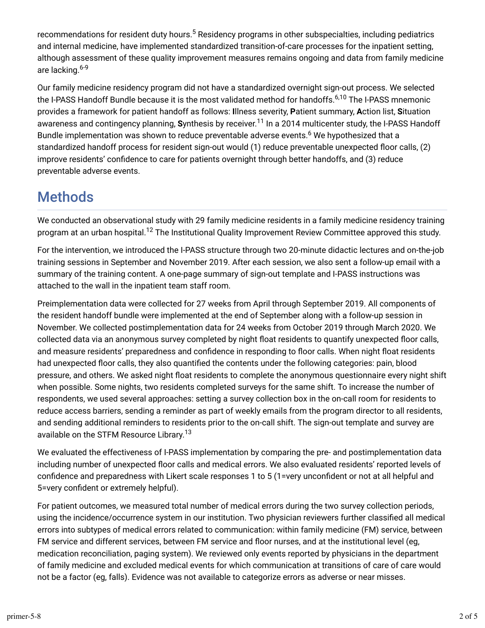recommendations for resident duty hours.<sup>5</sup> Residency programs in other subspecialties, including pediatrics and internal medicine, have implemented standardized transition-of-care processes for the inpatient setting, although assessment of these quality improvement measures remains ongoing and data from family medicine are lacking.<sup>6-9</sup>

Our family medicine residency program did not have a standardized overnight sign-out process. We selected the I-PASS Handoff Bundle because it is the most validated method for handoffs.<sup>6,10</sup> The I-PASS mnemonic provides a framework for patient handoff as follows: **I**llness severity, **P**atient summary, **A**ction list, **S**ituation awareness and contingency planning, **S**ynthesis by receiver.<sup>11</sup> In a 2014 multicenter study, the I-PASS Handoff Bundle implementation was shown to reduce preventable adverse events.<sup>6</sup> We hypothesized that a standardized handoff process for resident sign-out would (1) reduce preventable unexpected floor calls, (2) improve residents' confidence to care for patients overnight through better handoffs, and (3) reduce preventable adverse events.

## **Methods**

We conducted an observational study with 29 family medicine residents in a family medicine residency training program at an urban hospital.<sup>12</sup> The Institutional Quality Improvement Review Committee approved this study.

For the intervention, we introduced the I-PASS structure through two 20-minute didactic lectures and on-the-job training sessions in September and November 2019. After each session, we also sent a follow-up email with a summary of the training content. A one-page summary of sign-out template and I-PASS instructions was attached to the wall in the inpatient team staff room.

Preimplementation data were collected for 27 weeks from April through September 2019. All components of the resident handoff bundle were implemented at the end of September along with a follow-up session in November. We collected postimplementation data for 24 weeks from October 2019 through March 2020. We collected data via an anonymous survey completed by night float residents to quantify unexpected floor calls, and measure residents' preparedness and confidence in responding to floor calls. When night float residents had unexpected floor calls, they also quantified the contents under the following categories: pain, blood pressure, and others. We asked night float residents to complete the anonymous questionnaire every night shift when possible. Some nights, two residents completed surveys for the same shift. To increase the number of respondents, we used several approaches: setting a survey collection box in the on-call room for residents to reduce access barriers, sending a reminder as part of weekly emails from the program director to all residents, and sending additional reminders to residents prior to the on-call shift. The sign-out template and survey are available on the STFM Resource Library.<sup>13</sup>

We evaluated the effectiveness of I-PASS implementation by comparing the pre- and postimplementation data including number of unexpected floor calls and medical errors. We also evaluated residents' reported levels of confidence and preparedness with Likert scale responses 1 to 5 (1=very unconfident or not at all helpful and 5=very confident or extremely helpful).

For patient outcomes, we measured total number of medical errors during the two survey collection periods, using the incidence/occurrence system in our institution. Two physician reviewers further classified all medical errors into subtypes of medical errors related to communication: within family medicine (FM) service, between FM service and different services, between FM service and floor nurses, and at the institutional level (eg, medication reconciliation, paging system). We reviewed only events reported by physicians in the department of family medicine and excluded medical events for which communication at transitions of care of care would not be a factor (eg, falls). Evidence was not available to categorize errors as adverse or near misses.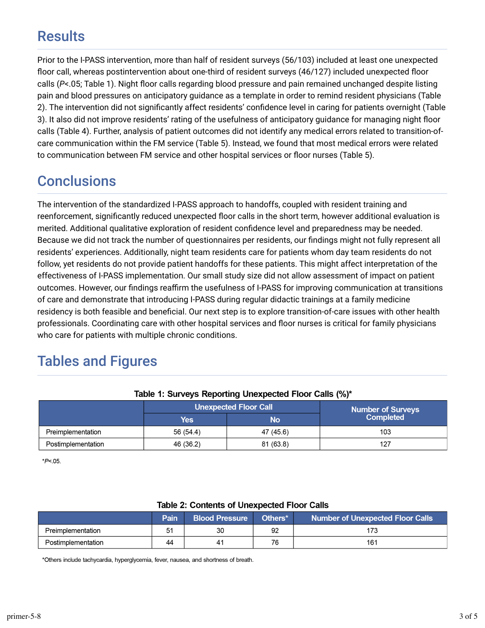## **Results**

Prior to the I-PASS intervention, more than half of resident surveys (56/103) included at least one unexpected floor call, whereas postintervention about one-third of resident surveys (46/127) included unexpected floor calls ( $P$ <.05; Table 1). Night floor calls regarding blood pressure and pain remained unchanged despite listing pain and blood pressures on anticipatory guidance as a template in order to remind resident physicians (Table 2). The intervention did not significantly affect residents' confidence level in caring for patients overnight (Table 3). It also did not improve residents' rating of the usefulness of anticipatory guidance for managing night floor calls (Table 4). Further, analysis of patient outcomes did not identify any medical errors related to transition-ofcare communication within the FM service (Table 5). Instead, we found that most medical errors were related to communication between FM service and other hospital services or floor nurses (Table 5).

## **Conclusions**

The intervention of the standardized I-PASS approach to handoffs, coupled with resident training and reenforcement, significantly reduced unexpected floor calls in the short term, however additional evaluation is merited. Additional qualitative exploration of resident confidence level and preparedness may be needed. Because we did not track the number of questionnaires per residents, our findings might not fully represent all residents' experiences. Additionally, night team residents care for patients whom day team residents do not follow, yet residents do not provide patient handoffs for these patients. This might affect interpretation of the effectiveness of I-PASS implementation. Our small study size did not allow assessment of impact on patient outcomes. However, our findings reaffirm the usefulness of I-PASS for improving communication at transitions of care and demonstrate that introducing I-PASS during regular didactic trainings at a family medicine residency is both feasible and beneficial. Our next step is to explore transition-of-care issues with other health professionals. Coordinating care with other hospital services and floor nurses is critical for family physicians who care for patients with multiple chronic conditions.

## Tables and Figures

|                    |            | <b>Unexpected Floor Call</b> | Number of Surveys |  |
|--------------------|------------|------------------------------|-------------------|--|
|                    | <b>Yes</b> | No                           | <b>Completed</b>  |  |
| Preimplementation  | 56 (54.4)  | 47 (45.6)                    | 103               |  |
| Postimplementation | 46 (36.2)  | 81(63.8)                     | 127               |  |

### Table 1: Surveys Reporting Unexpected Floor Calls (%)\*

\*P<.05.

| Table 2: Contents of Unexpected Floor Calls |      |                       |                     |                                         |  |  |  |
|---------------------------------------------|------|-----------------------|---------------------|-----------------------------------------|--|--|--|
|                                             | Pain | <b>Blood Pressure</b> | Others <sup>*</sup> | <b>Number of Unexpected Floor Calls</b> |  |  |  |
| Preimplementation                           | 51   | 30                    | 92                  | 173                                     |  |  |  |
| Postimplementation                          | 44   | 41                    | 76                  | 161                                     |  |  |  |

\*Others include tachycardia, hyperglycemia, fever, nausea, and shortness of breath.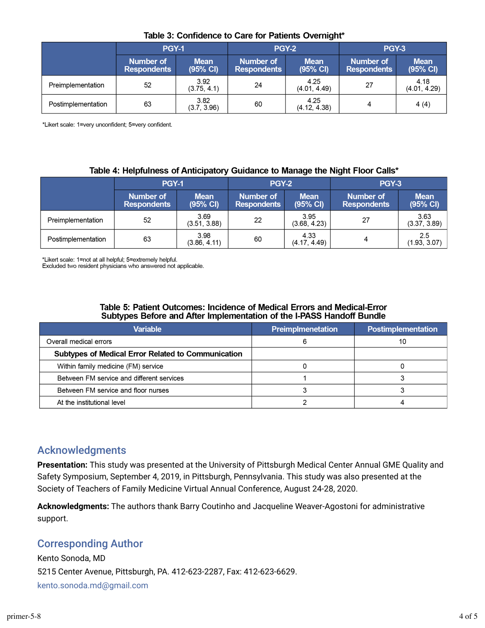|                    | <b>PGY-1</b>                    |                                   | <b>PGY-2</b>                    |                         | <b>PGY-3</b>                    |                         |
|--------------------|---------------------------------|-----------------------------------|---------------------------------|-------------------------|---------------------------------|-------------------------|
|                    | Number of<br><b>Respondents</b> | <b>Mean</b><br>$(95% \text{ Cl})$ | Number of<br><b>Respondents</b> | <b>Mean</b><br>(95% CI) | Number of<br><b>Respondents</b> | <b>Mean</b><br>(95% CI) |
| Preimplementation  | 52                              | 3.92<br>(3.75, 4.1)               | 24                              | 4.25<br>(4.01, 4.49)    | 27                              | 4.18<br>(4.01, 4.29)    |
| Postimplementation | 63                              | 3.82<br>(3.7, 3.96)               | 60                              | 4.25<br>(4.12, 4.38)    | 4                               | 4(4)                    |

### Table 3: Confidence to Care for Patients Overnight\*

\*Likert scale: 1=very unconfident; 5=very confident.

### Table 4: Helpfulness of Anticipatory Guidance to Manage the Night Floor Calls\*

|                    | <b>PGY-1</b>                    |                         | <b>PGY-2</b>                    |                         | PGY-3                           |                         |
|--------------------|---------------------------------|-------------------------|---------------------------------|-------------------------|---------------------------------|-------------------------|
|                    | Number of<br><b>Respondents</b> | <b>Mean</b><br>(95% CI) | Number of<br><b>Respondents</b> | <b>Mean</b><br>(95% CI) | Number of<br><b>Respondents</b> | <b>Mean</b><br>(95% CI) |
| Preimplementation  | 52                              | 3.69<br>(3.51, 3.88)    | 22                              | 3.95<br>(3.68, 4.23)    | 27                              | 3.63<br>(3.37, 3.89)    |
| Postimplementation | 63                              | 3.98<br>(3.86, 4.11)    | 60                              | 4.33<br>(4.17, 4.49)    | 4                               | 2.5<br>(1.93, 3.07)     |

\*Likert scale: 1=not at all helpful; 5=extremely helpful.

Excluded two resident physicians who answered not applicable.

### Table 5: Patient Outcomes: Incidence of Medical Errors and Medical-Error Subtypes Before and After Implementation of the I-PASS Handoff Bundle

| <b>Variable</b>                                           | <b>Preimplmenetation</b> | Postimplementation |
|-----------------------------------------------------------|--------------------------|--------------------|
| Overall medical errors                                    | 6                        | 10                 |
| <b>Subtypes of Medical Error Related to Communication</b> |                          |                    |
| Within family medicine (FM) service                       |                          |                    |
| Between FM service and different services                 |                          |                    |
| Between FM service and floor nurses                       |                          |                    |
| At the institutional level                                |                          |                    |

## Acknowledgments

**Presentation:** This study was presented at the University of Pittsburgh Medical Center Annual GME Quality and Safety Symposium, September 4, 2019, in Pittsburgh, Pennsylvania. This study was also presented at the Society of Teachers of Family Medicine Virtual Annual Conference, August 24-28, 2020.

**Acknowledgments:** The authors thank Barry Coutinho and Jacqueline Weaver-Agostoni for administrative support.

## Corresponding Author

Kento Sonoda, MD 5215 Center Avenue, Pittsburgh, PA. 412-623-2287, Fax: 412-623-6629. kento.sonoda.md@gmail.com